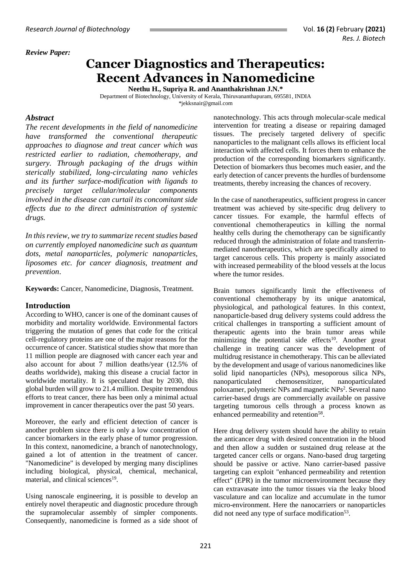#### *Review Paper:*

# **Cancer Diagnostics and Therapeutics: Recent Advances in Nanomedicine**

**Neethu H., Supriya R. and Ananthakrishnan J.N.\***

Department of Biotechnology, University of Kerala, Thiruvananthapuram, 695581, INDIA *\**[jekksnair@gmail.com](mailto:jekksnair@gmail.com)

#### *Abstract*

*The recent developments in the field of nanomedicine have transformed the conventional therapeutic approaches to diagnose and treat cancer which was restricted earlier to radiation, chemotherapy, and surgery. Through packaging of the drugs within sterically stabilized, long-circulating nano vehicles and its further surface-modification with ligands to precisely target cellular/molecular components involved in the disease can curtail its concomitant side effects due to the direct administration of systemic drugs.* 

*In this review, we try to summarize recent studies based on currently employed nanomedicine such as quantum dots, metal nanoparticles, polymeric nanoparticles, liposomes etc. for cancer diagnosis, treatment and prevention*.

**Keywords:** Cancer, Nanomedicine, Diagnosis, Treatment.

## **Introduction**

According to WHO, cancer is one of the dominant causes of morbidity and mortality worldwide. Environmental factors triggering the mutation of genes that code for the critical cell-regulatory proteins are one of the major reasons for the occurrence of cancer. Statistical studies show that more than 11 million people are diagnosed with cancer each year and also account for about 7 million deaths/year (12.5% of deaths worldwide), making this disease a crucial factor in worldwide mortality. It is speculated that by 2030, this global burden will grow to 21.4 million. Despite tremendous efforts to treat cancer, there has been only a minimal actual improvement in cancer therapeutics over the past 50 years.

Moreover, the early and efficient detection of cancer is another problem since there is only a low concentration of cancer biomarkers in the early phase of tumor progression. In this context, nanomedicine, a branch of nanotechnology, gained a lot of attention in the treatment of cancer. "Nanomedicine" is developed by merging many disciplines including biological, physical, chemical, mechanical, material, and clinical sciences<sup>19</sup>.

Using nanoscale engineering, it is possible to develop an entirely novel therapeutic and diagnostic procedure through the supramolecular assembly of simpler components. Consequently, nanomedicine is formed as a side shoot of

nanotechnology. This acts through molecular-scale medical intervention for treating a disease or repairing damaged tissues. The precisely targeted delivery of specific nanoparticles to the malignant cells allows its efficient local interaction with affected cells. It forces them to enhance the production of the corresponding biomarkers significantly. Detection of biomarkers thus becomes much easier, and the early detection of cancer prevents the hurdles of burdensome treatments, thereby increasing the chances of recovery.

In the case of nanotherapeutics, sufficient progress in cancer treatment was achieved by site-specific drug delivery to cancer tissues. For example, the harmful effects of conventional chemotherapeutics in killing the normal healthy cells during the chemotherapy can be significantly reduced through the administration of folate and transferrinmediated nanotherapeutics, which are specifically aimed to target cancerous cells. This property is mainly associated with increased permeability of the blood vessels at the locus where the tumor resides.

Brain tumors significantly limit the effectiveness of conventional chemotherapy by its unique anatomical, physiological, and pathological features. In this context, nanoparticle-based drug delivery systems could address the critical challenges in transporting a sufficient amount of therapeutic agents into the brain tumor areas while minimizing the potential side effects<sup>10</sup>. Another great challenge in treating cancer was the development of multidrug resistance in chemotherapy. This can be alleviated by the development and usage of various nanomedicines like solid lipid nanoparticles (NPs), mesoporous silica NPs, nanoparticulated chemosensitizer, nanoparticulated poloxamer, polymeric NPs and magnetic NPs<sup>2</sup>. Several nano carrier-based drugs are commercially available on passive targeting tumorous cells through a process known as enhanced permeability and retention<sup>58</sup>.

Here drug delivery system should have the ability to retain the anticancer drug with desired concentration in the blood and then allow a sudden or sustained drug release at the targeted cancer cells or organs. Nano-based drug targeting should be passive or active. Nano carrier-based passive targeting can exploit "enhanced permeability and retention effect" (EPR) in the tumor microenvironment because they can extravasate into the tumor tissues via the leaky blood vasculature and can localize and accumulate in the tumor micro-environment. Here the nanocarriers or nanoparticles did not need any type of surface modification<sup>53</sup>.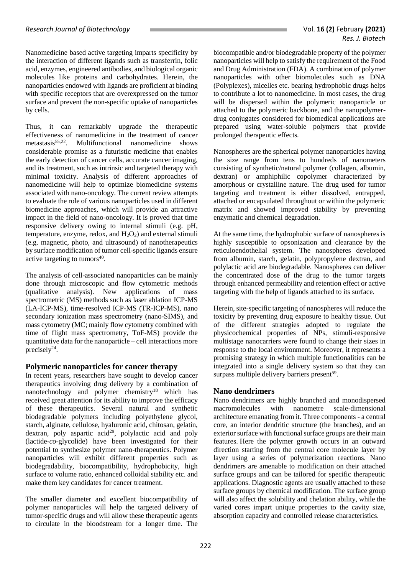Nanomedicine based active targeting imparts specificity by the interaction of different ligands such as transferrin, folic acid, enzymes, engineered antibodies, and biological organic molecules like proteins and carbohydrates. Herein, the nanoparticles endowed with ligands are proficient at binding with specific receptors that are overexpressed on the tumor surface and prevent the non-specific uptake of nanoparticles by cells.

Thus, it can remarkably upgrade the therapeutic effectiveness of nanomedicine in the treatment of cancer metastasis $55,22$ . Multifunctional nanomedicine shows considerable promise as a futuristic medicine that enables the early detection of cancer cells, accurate cancer imaging, and its treatment, such as intrinsic and targeted therapy with minimal toxicity. Analysis of different approaches of nanomedicine will help to optimize biomedicine systems associated with nano-oncology. The current review attempts to evaluate the role of various nanoparticles used in different biomedicine approaches, which will provide an attractive impact in the field of nano-oncology. It is proved that time responsive delivery owing to internal stimuli (e.g. pH, temperature, enzyme, redox, and  $H_2O_2$ ) and external stimuli (e.g. magnetic, photo, and ultrasound) of nanotherapeutics by surface modification of tumor cell-specific ligands ensure active targeting to tumors $40$ .

The analysis of cell-associated nanoparticles can be mainly done through microscopic and flow cytometric methods (qualitative analysis). New applications of mass spectrometric (MS) methods such as laser ablation ICP-MS (LA-ICP-MS), time-resolved ICP-MS (TR-ICP-MS), nano secondary ionization mass spectrometry (nano-SIMS), and mass cytometry (MC; mainly flow cytometry combined with time of flight mass spectrometry, ToF-MS) provide the quantitative data for the nanoparticle – cell interactions more precisely<sup>24</sup>.

## **Polymeric nanoparticles for cancer therapy**

In recent years, researchers have sought to develop cancer therapeutics involving drug delivery by a combination of nanotechnology and polymer chemistry<sup>18</sup> which has received great attention for its ability to improve the efficacy of these therapeutics. Several natural and synthetic biodegradable polymers including polyethylene glycol, starch, alginate, cellulose, hyaluronic acid, chitosan, gelatin, dextran, poly aspartic  $acid^{29}$ , polylactic acid and poly (lactide-*co*-glycolide) have been investigated for their potential to synthesize polymer nano-therapeutics. Polymer nanoparticles will exhibit different properties such as biodegradability, biocompatibility, hydrophobicity, high surface to volume ratio, enhanced colloidal stability etc. and make them key candidates for cancer treatment.

The smaller diameter and excellent biocompatibility of polymer nanoparticles will help the targeted delivery of tumor-specific drugs and will allow these therapeutic agents to circulate in the bloodstream for a longer time. The biocompatible and/or biodegradable property of the polymer nanoparticles will help to satisfy the requirement of the Food and Drug Administration (FDA). A combination of polymer nanoparticles with other biomolecules such as DNA (Polyplexes), micelles etc. bearing hydrophobic drugs helps to contribute a lot to nanomedicine. In most cases, the drug will be dispersed within the polymeric nanoparticle or attached to the polymeric backbone, and the nanopolymerdrug conjugates considered for biomedical applications are prepared using water-soluble polymers that provide prolonged therapeutic effects.

Nanospheres are the spherical polymer nanoparticles having the size range from tens to hundreds of nanometers consisting of synthetic/natural polymer (collagen, albumin, dextran) or amphiphilic copolymer characterized by amorphous or crystalline nature. The drug used for tumor targeting and treatment is either dissolved, entrapped, attached or encapsulated throughout or within the polymeric matrix and showed improved stability by preventing enzymatic and chemical degradation.

At the same time, the hydrophobic surface of nanospheres is highly susceptible to opsonization and clearance by the reticuloendothelial system. The nanospheres developed from albumin, starch, gelatin, polypropylene dextran, and polylactic acid are biodegradable. Nanospheres can deliver the concentrated dose of the drug to the tumor targets through enhanced permeability and retention effect or active targeting with the help of ligands attached to its surface.

Herein, site-specific targeting of nanospheres will reduce the toxicity by preventing drug exposure to healthy tissue. Out of the different strategies adopted to regulate the physicochemical properties of NPs, stimuli-responsive multistage nanocarriers were found to change their sizes in response to the local environment. Moreover, it represents a promising strategy in which multiple functionalities can be integrated into a single delivery system so that they can surpass multiple delivery barriers present<sup>59</sup>.

## **Nano dendrimers**

Nano dendrimers are highly branched and monodispersed macromolecules with nanometre scale-dimensional architecture emanating from it. Three components - a central core, an interior dendritic structure (the branches), and an exterior surface with functional surface groups are their main features. Here the polymer growth occurs in an outward direction starting from the central core molecule layer by layer using a series of polymerization reactions. Nano dendrimers are amenable to modification on their attached surface groups and can be tailored for specific therapeutic applications. Diagnostic agents are usually attached to these surface groups by chemical modification. The surface group will also affect the solubility and chelation ability, while the varied cores impart unique properties to the cavity size, absorption capacity and controlled release characteristics.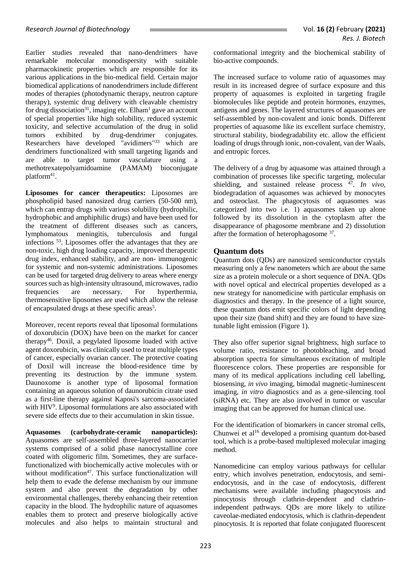Earlier studies revealed that nano-dendrimers have remarkable molecular monodispersity with suitable pharmacokinetic properties which are responsible for its various applications in the bio-medical field. Certain major biomedical applications of nanodendrimers include different modes of therapies (photodynamic therapy, neutron capture therapy), systemic drug delivery with cleavable chemistry for drug dissociation<sup>31</sup>, imaging etc. Elham<sup>1</sup> gave an account of special properties like high solubility, reduced systemic toxicity, and selective accumulation of the drug in solid tumors exhibited by drug-dendrimer conjugates. Researchers have developed "avidimers"<sup>33</sup> which are dendrimers functionalized with small targeting ligands and are able to target tumor vasculature using a methotrexatepolyamidoamine (PAMAM) bioconjugate platform<sup>41</sup>.

**Liposomes for cancer therapeutics:** Liposomes are phospholipid based nanosized drug carriers (50-500 nm), which can entrap drugs with various solubility (hydrophilic, hydrophobic and amphiphilic drugs) and have been used for the treatment of different diseases such as cancers, lymphomatous meningitis, tuberculosis and fungal infections <sup>53</sup>. Liposomes offer the advantages that they are non-toxic, high drug loading capacity, improved therapeutic drug index, enhanced stability, and are non- immunogenic for systemic and non-systemic administrations. Liposomes can be used for targeted drug delivery to areas where energy sources such as high-intensity ultrasound, microwaves, radio frequencies are necessary. For hyperthermia, thermosensitive liposomes are used which allow the release of encapsulated drugs at these specific areas<sup>5</sup>.

Moreover, recent reports reveal that liposomal formulations of doxorubicin (DOX) have been on the market for cancer therapy<sup>46</sup>. Doxil, a pegylated liposome loaded with active agent doxorubicin, was clinically used to treat multiple types of cancer, especially ovarian cancer. The protective coating of Doxil will increase the blood-residence time by preventing its destruction by the immune system. Daunoxome is another type of liposomal formation containing an aqueous solution of daunorubicin citrate used as a first-line therapy against Kaposi's sarcoma-associated with HIV<sup>9</sup>. Liposomal formulations are also associated with severe side effects due to their accumulation in skin tissue.

**Aquasomes (carbohydrate-ceramic nanoparticles):**  Aquasomes are self-assembled three-layered nanocarrier systems comprised of a solid phase nanocrystalline core coated with oligomeric film. Sometimes, they are surfacefunctionalized with biochemically active molecules with or without modification<sup>47</sup>. This surface functionalization will help them to evade the defense mechanism by our immune system and also prevent the degradation by other environmental challenges, thereby enhancing their retention capacity in the blood. The hydrophilic nature of aquasomes enables them to protect and preserve biologically active molecules and also helps to maintain structural and conformational integrity and the biochemical stability of bio-active compounds.

The increased surface to volume ratio of aquasomes may result in its increased degree of surface exposure and this property of aquasomes is exploited in targeting fragile biomolecules like peptide and protein hormones, enzymes, antigens and genes. The layered structures of aquasomes are self-assembled by non-covalent and ionic bonds. Different properties of aquasome like its excellent surface chemistry, structural stability, biodegradability etc. allow the efficient loading of drugs through ionic, non-covalent, van der Waals, and entropic forces.

The delivery of a drug by aquasome was attained through a combination of processes like specific targeting, molecular shielding, and sustained release process <sup>47</sup>. In vivo, biodegradation of aquasomes was achieved by monocytes and osteoclast. The phagocytosis of aquasomes was categorized into two i.e*.* 1) aquasomes taken up alone followed by its dissolution in the cytoplasm after the disappearance of phagosome membrane and 2) dissolution after the formation of heterophagosome <sup>37</sup>.

#### **Quantum dots**

Quantum dots (QDs) are nanosized semiconductor crystals measuring only a few nanometers which are about the same size as a protein molecule or a short sequence of DNA. QDs with novel optical and electrical properties developed as a new strategy for nanomedicine with particular emphasis on diagnostics and therapy. In the presence of a light source, these quantum dots emit specific colors of light depending upon their size (band shift) and they are found to have sizetunable light emission (Figure 1).

They also offer superior signal brightness, high surface to volume ratio, resistance to photobleaching, and broad absorption spectra for simultaneous excitation of multiple fluorescence colors. These properties are responsible for many of its medical applications including cell labelling, biosensing, *in vivo* imaging, bimodal magnetic-luminescent imaging, *in vitro* diagnostics and as a gene-silencing tool (siRNA) etc. They are also involved in tumor or vascular imaging that can be approved for human clinical use.

For the identification of biomarkers in cancer stromal cells, Chunwei et al<sup>16</sup> developed a promising quantum dot-based tool, which is a probe-based multiplexed molecular imaging method.

Nanomedicine can employ various pathways for cellular entry, which involves penetration, endocytosis, and semiendocytosis, and in the case of endocytosis, different mechanisms were available including phagocytosis and pinocytosis through clathrin-dependent and clathrinindependent pathways. QDs are more likely to utilize caveolae-mediated endocytosis, which is clathrin-dependent pinocytosis. It is reported that folate conjugated fluorescent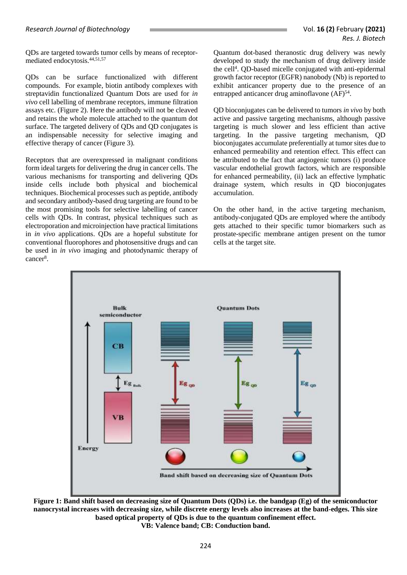QDs are targeted towards tumor cells by means of receptormediated endocytosis. 44,51,57

QDs can be surface functionalized with different compounds. For example, biotin antibody complexes with streptavidin functionalized Quantum Dots are used for *in vivo* cell labelling of membrane receptors, immune filtration assays etc. (Figure 2). Here the antibody will not be cleaved and retains the whole molecule attached to the quantum dot surface. The targeted delivery of QDs and QD conjugates is an indispensable necessity for selective imaging and effective therapy of cancer (Figure 3).

Receptors that are overexpressed in malignant conditions form ideal targets for delivering the drug in cancer cells. The various mechanisms for transporting and delivering QDs inside cells include both physical and biochemical techniques. Biochemical processes such as peptide, antibody and secondary antibody-based drug targeting are found to be the most promising tools for selective labelling of cancer cells with QDs. In contrast, physical techniques such as electroporation and microinjection have practical limitations in *in vivo* applications. QDs are a hopeful substitute for conventional fluorophores and photosensitive drugs and can be used in *in vivo* imaging and photodynamic therapy of cancer<sup>8</sup>.

Quantum dot-based theranostic drug delivery was newly developed to study the mechanism of drug delivery inside the cell<sup>4</sup>. QD-based micelle conjugated with anti-epidermal growth factor receptor (EGFR) nanobody (Nb) is reported to exhibit anticancer property due to the presence of an entrapped anticancer drug aminoflavone (AF)<sup>54</sup>.

QD bioconjugates can be delivered to tumors *in vivo* by both active and passive targeting mechanisms, although passive targeting is much slower and less efficient than active targeting. In the passive targeting mechanism, QD bioconjugates accumulate preferentially at tumor sites due to enhanced permeability and retention effect. This effect can be attributed to the fact that angiogenic tumors (i) produce vascular endothelial growth factors, which are responsible for enhanced permeability, (ii) lack an effective lymphatic drainage system, which results in QD bioconjugates accumulation.

On the other hand, in the active targeting mechanism, antibody-conjugated QDs are employed where the antibody gets attached to their specific tumor biomarkers such as prostate-specific membrane antigen present on the tumor cells at the target site.



**Figure 1: Band shift based on decreasing size of Quantum Dots (QDs) i.e. the bandgap (Eg) of the semiconductor nanocrystal increases with decreasing size, while discrete energy levels also increases at the band-edges. This size based optical property of QDs is due to the quantum confinement effect. VB: Valence band; CB: Conduction band.**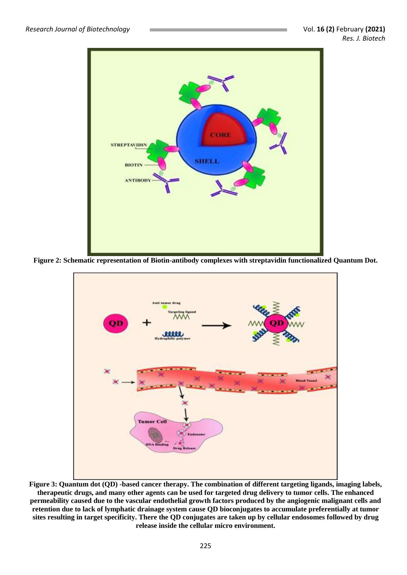

**Figure 2: Schematic representation of Biotin-antibody complexes with streptavidin functionalized Quantum Dot.**



**Figure 3: Quantum dot (QD) -based cancer therapy. The combination of different targeting ligands, imaging labels, therapeutic drugs, and many other agents can be used for targeted drug delivery to tumor cells. The enhanced permeability caused due to the vascular endothelial growth factors produced by the angiogenic malignant cells and retention due to lack of lymphatic drainage system cause QD bioconjugates to accumulate preferentially at tumor sites resulting in target specificity. There the QD conjugates are taken up by cellular endosomes followed by drug release inside the cellular micro environment.**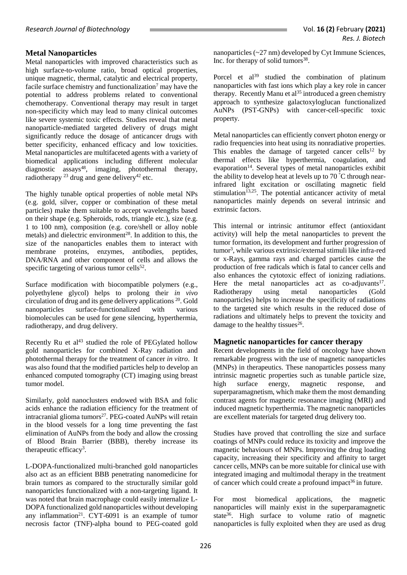## **Metal Nanoparticles**

Metal nanoparticles with improved characteristics such as high surface-to-volume ratio, broad optical properties, unique magnetic, thermal, catalytic and electrical property, facile surface chemistry and functionalization<sup>7</sup> may have the potential to address problems related to conventional chemotherapy. Conventional therapy may result in target non-specificity which may lead to many clinical outcomes like severe systemic toxic effects. Studies reveal that metal nanoparticle-mediated targeted delivery of drugs might significantly reduce the dosage of anticancer drugs with better specificity, enhanced efficacy and low toxicities. Metal nanoparticles are multifaceted agents with a variety of biomedical applications including different molecular diagnostic assays<sup>48</sup>, imaging, photothermal therapy, radiotherapy  $^{23}$  drug and gene delivery<sup>42</sup> etc.

The highly tunable optical properties of noble metal NPs (e.g. gold, silver, copper or combination of these metal particles) make them suitable to accept wavelengths based on their shape (e.g. Spheroids, rods, triangle etc.), size (e.g. 1 to 100 nm), composition (e.g. core/shell or alloy noble metals) and dielectric environment<sup>28</sup>. In addition to this, the size of the nanoparticles enables them to interact with membrane proteins, enzymes, antibodies, peptides, DNA/RNA and other component of cells and allows the specific targeting of various tumor cells<sup>52</sup>.

Surface modification with biocompatible polymers (e.g., polyethylene glycol) helps to prolong their *in vivo*  circulation of drug and its gene delivery applications <sup>20</sup>. Gold nanoparticles surface-functionalized with various biomolecules can be used for gene silencing, hyperthermia, radiotherapy, and drug delivery.

Recently Ru et al<sup>43</sup> studied the role of PEGylated hollow gold nanoparticles for combined X-Ray radiation and photothermal therapy for the treatment of cancer *in vitro*. It was also found that the modified particles help to develop an enhanced computed tomography (CT) imaging using breast tumor model.

Similarly, gold nanoclusters endowed with BSA and folic acids enhance the radiation efficiency for the treatment of intracranial glioma tumors<sup>27</sup>. PEG-coated AuNPs will retain in the blood vessels for a long time preventing the fast elimination of AuNPs from the body and allow the crossing of Blood Brain Barrier (BBB), thereby increase its therapeutic efficacy<sup>3</sup>.

L-DOPA-functionalized multi-branched [gold nanoparticles](https://www.sciencedirect.com/topics/medicine-and-dentistry/gold-nanoparticle) also act as an efficient BBB penetrating nanomedicine for brain tumors as compared to the structurally similar gold nanoparticles functionalized with a non-targeting ligand. It was noted that brain macrophage could easily internalize L-DOPA functionalized gold nanoparticles without developing any inflammation<sup>21</sup>. CYT-6091 is an example of tumor necrosis factor (TNF)-alpha bound to PEG-coated gold nanoparticles (~27 nm) developed by Cyt Immune Sciences, Inc. for therapy of solid tumors<sup>38</sup>.

Porcel et al<sup>39</sup> studied the combination of platinum nanoparticles with fast ions which play a key role in cancer therapy. Recently Manu et  $al^{35}$  introduced a green chemistry approach to synthesize galactoxyloglucan functionalized AuNPs (PST-GNPs) with cancer-cell-specific toxic property.

Metal nanoparticles can efficiently convert photon energy or radio frequencies into heat using its nonradiative properties. This enables the damage of targeted cancer cells<sup>12</sup> by thermal effects like hyperthermia, coagulation, and evaporation<sup>14</sup>. Several types of metal nanoparticles exhibit the ability to develop heat at levels up to 70  $\degree$ C through nearinfrared light excitation or oscillating magnetic field stimulation $13,25$ . The potential anticancer activity of metal nanoparticles mainly depends on several intrinsic and extrinsic factors.

This internal or intrinsic antitumor effect (antioxidant activity) will help the metal nanoparticles to prevent the tumor formation, its development and further progression of tumor<sup>3</sup> , while various extrinsic/external stimuli like infra-red or x-Rays, gamma rays and charged particles cause the production of free radicals which is fatal to cancer cells and also enhances the cytotoxic effect of ionizing radiations. Here the metal nanoparticles act as co-adjuvants $17$ . Radiotherapy using metal nanoparticles (Gold nanoparticles) helps to increase the specificity of radiations to the targeted site which results in the reduced dose of radiations and ultimately helps to prevent the toxicity and damage to the healthy tissues<sup>26</sup>.

#### **Magnetic nanoparticles for cancer therapy**

Recent developments in the field of oncology have shown remarkable progress with the use of magnetic nanoparticles (MNPs) in therapeutics. These nanoparticles possess many intrinsic magnetic properties such as tunable particle size, high surface energy, magnetic response, and superparamagnetism, which make them the most demanding contrast agents for magnetic resonance imaging (MRI) and induced magnetic hyperthermia. The magnetic nanoparticles are excellent materials for targeted drug delivery too.

Studies have proved that controlling the size and surface coatings of MNPs could reduce its toxicity and improve the magnetic behaviours of MNPs. Improving the drug loading capacity, increasing their specificity and affinity to target cancer cells, MNPs can be more suitable for clinical use with integrated imaging and multimodal therapy in the treatment of cancer which could create a profound impact<sup>36</sup> in future.

For most biomedical applications, the magnetic nanoparticles will mainly exist in the superparamagnetic state<sup>36</sup>. High surface to volume ratio of magnetic nanoparticles is fully exploited when they are used as drug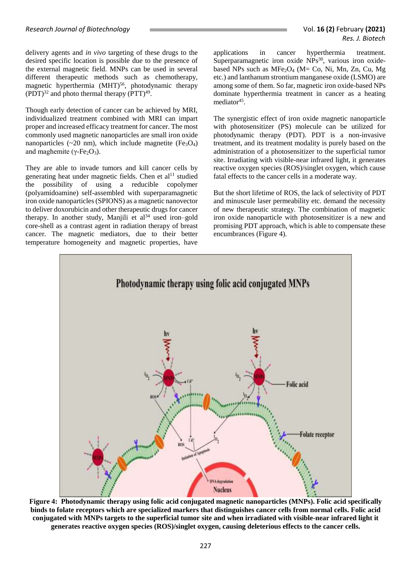delivery agents and *in vivo* targeting of these drugs to the desired specific location is possible due to the presence of the external magnetic field. MNPs can be used in several different therapeutic methods such as chemotherapy, magnetic hyperthermia (MHT)<sup>56</sup>, photodynamic therapy  $(PDT)^{32}$  and photo thermal therapy  $(PTT)^{49}$ .

Though early detection of cancer can be achieved by MRI, individualized treatment combined with MRI can impart proper and increased efficacy treatment for cancer. The most commonly used magnetic nanoparticles are small iron oxide nanoparticles ( $\sim$ 20 nm), which include magnetite ( $Fe<sub>3</sub>O<sub>4</sub>$ ) and maghemite ( $\gamma$ -Fe<sub>2</sub>O<sub>3</sub>).

They are able to invade tumors and kill cancer cells by generating heat under magnetic fields. Chen et al<sup>11</sup> studied the possibility of using a reducible copolymer (polyamidoamine) self-assembled with superparamagnetic iron oxide nanoparticles (SPIONS) as a magnetic nanovector to deliver doxorubicin and other therapeutic drugs for cancer therapy. In another study, Manjili et  $al<sup>34</sup>$  used iron–gold core-shell as a contrast agent in radiation therapy of breast cancer. The magnetic mediators, due to their better temperature homogeneity and magnetic properties, have applications in cancer hyperthermia treatment. Superparamagnetic iron oxide  $\overline{\text{NPs}}^{30}$ , various iron oxidebased NPs such as  $MFe<sub>2</sub>O<sub>4</sub>$  (M= Co, Ni, Mn, Zn, Cu, Mg) etc.) and lanthanum strontium manganese oxide (LSMO) are among some of them. So far, magnetic iron oxide-based NPs dominate hyperthermia treatment in cancer as a heating mediator<sup>45</sup>.

The synergistic effect of iron oxide magnetic nanoparticle with photosensitizer (PS) molecule can be utilized for photodynamic therapy (PDT). PDT is a non-invasive treatment, and its treatment modality is purely based on the administration of a photosensitizer to the superficial tumor site. Irradiating with visible-near infrared light, it generates reactive oxygen species (ROS)/singlet oxygen, which cause fatal effects to the cancer cells in a moderate way.

But the short lifetime of ROS, the lack of selectivity of PDT and minuscule laser permeability etc. demand the necessity of new therapeutic strategy. The combination of magnetic iron oxide nanoparticle with photosensitizer is a new and promising PDT approach, which is able to compensate these encumbrances (Figure 4).



**Figure 4: Photodynamic therapy using folic acid conjugated magnetic nanoparticles (MNPs). Folic acid specifically binds to folate receptors which are specialized markers that distinguishes cancer cells from normal cells. Folic acid conjugated with MNPs targets to the superficial tumor site and when irradiated with visible-near infrared light it generates reactive oxygen species (ROS)/singlet oxygen, causing deleterious effects to the cancer cells.**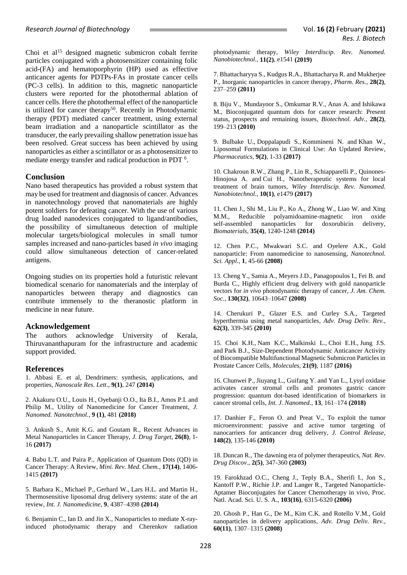Choi et al<sup>15</sup> designed magnetic submicron cobalt ferrite particles conjugated with a photosensitizer containing folic acid-(FA) and hematoporphyrin (HP) used as effective anticancer agents for PDTPs-FAs in prostate cancer cells (PC-3 cells). In addition to this, magnetic nanoparticle clusters were reported for the photothermal ablation of cancer cells. Here the photothermal effect of the nanoparticle is utilized for cancer therapy<sup>50</sup>. Recently in Photodynamic therapy (PDT) mediated cancer treatment, using external beam irradiation and a nanoparticle scintillator as the transducer, the early prevailing shallow penetration issue has been resolved. Great success has been achieved by using nanoparticles as either a scintillator or as a photosensitizer to mediate energy transfer and radical production in PDT <sup>6</sup>.

#### **Conclusion**

Nano based therapeutics has provided a robust system that may be used for treatment and diagnosis of cancer. Advances in nanotechnology proved that nanomaterials are highly potent soldiers for defeating cancer. With the use of various drug loaded nanodevices conjugated to ligand/antibodies, the possibility of simultaneous detection of multiple molecular targets/biological molecules in small tumor samples increased and nano-particles based *in vivo* imaging could allow simultaneous detection of cancer-related antigens.

Ongoing studies on its properties hold a futuristic relevant biomedical scenario for nanomaterials and the interplay of nanoparticles between therapy and diagnostics can contribute immensely to the theranostic platform in medicine in near future.

#### **Acknowledgement**

The authors acknowledge University of Kerala, Thiruvananthapuram for the infrastructure and academic support provided.

#### **References**

1. [Abbasi](https://www.ncbi.nlm.nih.gov/pubmed/?term=Abbasi%20E%5BAuthor%5D&cauthor=true&cauthor_uid=24994950) E. et al, Dendrimers: synthesis, applications, and properties, *[Nanoscale Res. Lett](https://www.ncbi.nlm.nih.gov/pmc/articles/PMC4074873/)*., **9(1)**, 247 **(2014)**

2. Akakuru O.U., Louis H., Oyebanji O.O., Ita B.I., Amos P.I. and Philip M., Utility of Nanomedicine for Cancer Treatment, *J. Nanomed. Nanotechnol.*, **9 (1)**, 481 **(2018)**

3. Ankush S., Amit K.G. and Goutam R., Recent Advances in Metal Nanoparticles in Cancer Therapy, *J. Drug Target*, **26(8)**, 1- 16 **(2017)**

4. Babu L.T. and [Paira](https://www.researchgate.net/scientific-contributions/39614998_Priyankar_Paira?_sg=luzPFVYwK0zvV5ebnae_VkE9MHnTEqdhBdlQAmegr690Ep_ROeMipTwzGUfSCbw_eaMPaO4.GbcEVYiSFmIck-uAniofR7NND3nW7x7UlIuWrbfHXay4HPX520n30RIhMG97P1CP3mKo2eYS05bXILKBWg6R4w) P., Application of Quantum Dots (QD) in Cancer Therapy: A Review, *Mini. Rev. Med. Chem.*, **17(14)**, 1406- 1415 **(2017)**

5. [Barbara K.](https://www.ncbi.nlm.nih.gov/pubmed/?term=Kneidl%20B%5BAuthor%5D&cauthor=true&cauthor_uid=25258529), [Michael P.,](https://www.ncbi.nlm.nih.gov/pubmed/?term=Peller%20M%5BAuthor%5D&cauthor=true&cauthor_uid=25258529) [Gerhard W.](https://www.ncbi.nlm.nih.gov/pubmed/?term=Winter%20G%5BAuthor%5D&cauthor=true&cauthor_uid=25258529), [Lars H.L.](https://www.ncbi.nlm.nih.gov/pubmed/?term=Lindner%20LH%5BAuthor%5D&cauthor=true&cauthor_uid=25258529) and [Martin H.](https://www.ncbi.nlm.nih.gov/pubmed/?term=Hossann%20M%5BAuthor%5D&cauthor=true&cauthor_uid=25258529), Thermosensitive liposomal drug delivery systems: state of the art review, *[Int. J. Nanomedicine](https://www.ncbi.nlm.nih.gov/pmc/articles/PMC4172103/)*, **9**, 4387–4398 **(2014)**

6. Benjamin C., Ian D. and Jin X., Nanoparticles to mediate X-rayinduced photodynamic therapy and Cherenkov radiation photodynamic therapy, *Wiley Interdiscip. Rev. Nanomed. Nanobiotechnol.*, **11(2)**, e1541 **(2019)**

7. Bhattacharyya S., Kudgus R.A., Bhattacharya R. and Mukherjee P., Inorganic nanoparticles in cancer therapy, *Pharm. Res.*, **28(2)**, 237–259 **(2011)**

8. [Biju V.](https://www.ncbi.nlm.nih.gov/pubmed/?term=Biju%20V%5BAuthor%5D&cauthor=true&cauthor_uid=19969062), [Mundayoor S.](https://www.ncbi.nlm.nih.gov/pubmed/?term=Mundayoor%20S%5BAuthor%5D&cauthor=true&cauthor_uid=19969062), [Omkumar R.V.](https://www.ncbi.nlm.nih.gov/pubmed/?term=Omkumar%20RV%5BAuthor%5D&cauthor=true&cauthor_uid=19969062), [Anas A.](https://www.ncbi.nlm.nih.gov/pubmed/?term=Anas%20A%5BAuthor%5D&cauthor=true&cauthor_uid=19969062) and [Ishikawa](https://www.ncbi.nlm.nih.gov/pubmed/?term=Ishikawa%20M%5BAuthor%5D&cauthor=true&cauthor_uid=19969062)  [M.](https://www.ncbi.nlm.nih.gov/pubmed/?term=Ishikawa%20M%5BAuthor%5D&cauthor=true&cauthor_uid=19969062), Bioconjugated quantum dots for cancer research: Present status, prospects and remaining issues, *Biotechnol. Adv.*, **28(2)**, 199–213 **(2010)**

9. [Bulbake U.](https://www.ncbi.nlm.nih.gov/pubmed/?term=Bulbake%20U%5BAuthor%5D&cauthor=true&cauthor_uid=28346375), [Doppalapudi S.](https://www.ncbi.nlm.nih.gov/pubmed/?term=Doppalapudi%20S%5BAuthor%5D&cauthor=true&cauthor_uid=28346375), [Kommineni N.](https://www.ncbi.nlm.nih.gov/pubmed/?term=Kommineni%20N%5BAuthor%5D&cauthor=true&cauthor_uid=28346375) and [Khan W.](https://www.ncbi.nlm.nih.gov/pubmed/?term=Khan%20W%5BAuthor%5D&cauthor=true&cauthor_uid=28346375), Liposomal Formulations in Clinical Use: An Updated Review, *Pharmaceutics*, **9(2)**, 1-33 **(2017)**

10. [Chakroun R.W.,](https://www.ncbi.nlm.nih.gov/pubmed/?term=Chakroun%20RW%5BAuthor%5D&cauthor=true&cauthor_uid=28544801) [Zhang P.](https://www.ncbi.nlm.nih.gov/pubmed/?term=Zhang%20P%5BAuthor%5D&cauthor=true&cauthor_uid=28544801), [Lin R.](https://www.ncbi.nlm.nih.gov/pubmed/?term=Lin%20R%5BAuthor%5D&cauthor=true&cauthor_uid=28544801), [Schiapparelli P.](https://www.ncbi.nlm.nih.gov/pubmed/?term=Schiapparelli%20P%5BAuthor%5D&cauthor=true&cauthor_uid=28544801), [Quinones-](https://www.ncbi.nlm.nih.gov/pubmed/?term=Quinones-Hinojosa%20A%5BAuthor%5D&cauthor=true&cauthor_uid=28544801)[Hinojosa A.](https://www.ncbi.nlm.nih.gov/pubmed/?term=Quinones-Hinojosa%20A%5BAuthor%5D&cauthor=true&cauthor_uid=28544801) and [Cui H.](https://www.ncbi.nlm.nih.gov/pubmed/?term=Cui%20H%5BAuthor%5D&cauthor=true&cauthor_uid=28544801), Nanotherapeutic systems for local treatment of brain tumors, *Wiley Interdiscip. Rev. Nanomed. Nanobiotechnol.*, **10(1)**, e1479 **(2017)**

11. Chen J., Shi M., Liu P., Ko A., Zhong W., Liao W. and Xing M.M., Reducible polyamidoamine-magnetic iron oxide self-assembled nanoparticles for doxorubicin delivery, *Biomaterials*, **35(4)**, 1240-1248 **(2014)**

12. Chen P.C., Mwakwari S.C. and Oyelere A.K., Gold nanoparticle: From nanomedicine to nanosensing, *Nanotechnol. Sci. Appl.*, **1**, 45-66 **(2008)**

13. Cheng Y., Samia A., Meyers J.D., Panagopoulos I., Fei B. and Burda C., Highly efficient drug delivery with gold nanoparticle vectors for *in vivo* photodynamic therapy of cancer, *J. Am. Chem. Soc.*, **130(32)**, 10643–10647 **(2008)**

14. Cherukuri P., Glazer E.S. and Curley S.A., Targeted hyperthermia using metal nanoparticles, *Adv. Drug Deliv. Rev.*, **62(3)**, 339-345 **(2010)**

15. [Choi K.H.](https://www.ncbi.nlm.nih.gov/pubmed/?term=Choi%20KH%5BAuthor%5D&cauthor=true&cauthor_uid=27607999), [Nam K.C.](https://www.ncbi.nlm.nih.gov/pubmed/?term=Nam%20KC%5BAuthor%5D&cauthor=true&cauthor_uid=27607999), [Malkinski L.](https://www.ncbi.nlm.nih.gov/pubmed/?term=Malkinski%20L%5BAuthor%5D&cauthor=true&cauthor_uid=27607999), [Choi E.H.](https://www.ncbi.nlm.nih.gov/pubmed/?term=Choi%20EH%5BAuthor%5D&cauthor=true&cauthor_uid=27607999), [Jung J.S.](https://www.ncbi.nlm.nih.gov/pubmed/?term=Jung%20JS%5BAuthor%5D&cauthor=true&cauthor_uid=27607999) and [Park B.J.](https://www.ncbi.nlm.nih.gov/pubmed/?term=Park%20BJ%5BAuthor%5D&cauthor=true&cauthor_uid=27607999), Size-Dependent Photodynamic Anticancer Activity of Biocompatible Multifunctional Magnetic Submicron Particles in Prostate Cancer Cells, *[Molecules](https://www.ncbi.nlm.nih.gov/pubmed/27607999)*, **21(9)**, 1187 **(2016)**

16. Chunwei P., Jiuyang L., Guifang Y. and Yan L., Lysyl oxidase activates cancer stromal cells and promotes gastric cancer progression: quantum dot-based identification of biomarkers in cancer stromal cells, *Int. J. Nanomed.*, **13**, 161–174 **(2018)**

17. Danhier F., Feron O. and Preat V., To exploit the tumor microenvironment: passive and active tumor targeting of nanocarriers for anticancer drug delivery, *J. Control Release*, **148(2)**, 135-146 **(2010)**

18. Duncan R., The dawning era of polymer therapeutics, *Nat. Rev. Drug Discov*., **2(5)**, 347-360 **(2003)**

19. Farokhzad O.C., Cheng J., Teply B.A., Sherifi I., Jon S., Kantoff P.W., Richie J.P. and Langer R., Targeted Nanoparticle-Aptamer Bioconjugates for Cancer Chemotherapy in vivo, [Proc.](https://www.ncbi.nlm.nih.gov/pubmed/16606824)  [Natl. Acad. Sci. U. S. A.](https://www.ncbi.nlm.nih.gov/pubmed/16606824), **103(16)**, 6315-6320 **(2006)**

20. Ghosh P., Han G., De M., Kim C.K. and Rotello V.M., Gold nanoparticles in delivery applications, *Adv. Drug Deliv. Rev.*, **60(11)**, 1307–1315 **(2008)**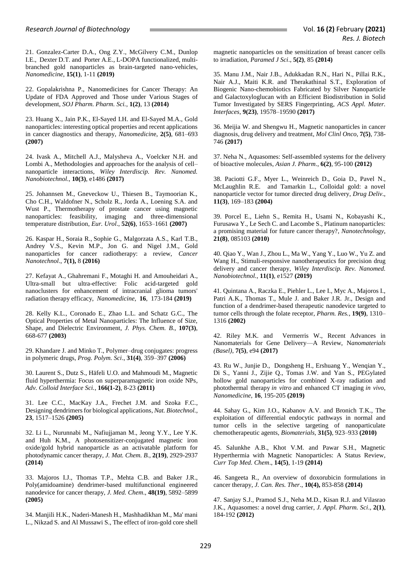21. [Gonzalez-Carter](https://www.sciencedirect.com/science/article/pii/S154996341830515X#!) D.A., [Ong](https://www.sciencedirect.com/science/article/pii/S154996341830515X#!) Z.Y., [McGilvery](https://www.sciencedirect.com/science/article/pii/S154996341830515X#!) C.M., [Dunlop](https://www.sciencedirect.com/science/article/pii/S154996341830515X#!) I.E.[, Dexter](https://www.sciencedirect.com/science/article/pii/S154996341830515X#!) D.T. and [Porter](https://www.sciencedirect.com/science/article/pii/S154996341830515X#!) A.E., L-DOPA functionalized, multibranched gold nanoparticles as brain-targeted nano-vehicles, *Nanomedicine*, **[15\(1\)](https://www.sciencedirect.com/science/journal/15499634/15/1)**, 1-11 **(2019)**

22. Gopalakrishna P., Nanomedicines for Cancer Therapy: An Update of FDA Approved and Those under Various Stages of development, *SOJ Pharm. Pharm. Sci.*, **1(2)**, 13 **(2014)**

23. Huang X., Jain P.K., El-Sayed I.H. and El-Sayed M.A., Gold nanoparticles: interesting optical properties and recent applications in cancer diagnostics and therapy, *Nanomedicin*e, **2(5)**, 681–693 **(2007)**

24. Ivask A., Mitchell A.J., Malysheva A., Voelcker N.H. and Lombi A., Methodologies and approaches for the analysis of cell– nanoparticle interactions, *Wiley Interdiscip. Rev. Nanomed. Nanobiotechnol.*, **10(3)**, e1486 **(2017)**

25. Johannsen M., Gneveckow U., Thiesen B., Taymoorian K., Cho C.H., Waldofner N., Scholz R., Jorda A., Loening S.A. and Wust P., Thermotherapy of prostate cancer using magnetic nanoparticles: feasibility, imaging and three-dimensional temperature distribution, *Eur. Urol*., **52(6)**, 1653–1661 **(2007)**

26. [Kaspar H.,](https://www.ncbi.nlm.nih.gov/pubmed/?term=Haume%20K%5BAuthor%5D&cauthor=true&cauthor_uid=27867425) [Soraia R.,](https://www.ncbi.nlm.nih.gov/pubmed/?term=Rosa%20S%5BAuthor%5D&cauthor=true&cauthor_uid=27867425) [Sophie G.,](https://www.ncbi.nlm.nih.gov/pubmed/?term=Grellet%20S%5BAuthor%5D&cauthor=true&cauthor_uid=27867425) Malgorzata A.S., Karl T.B., Andrey V.S., Kevin M.P., Jon G. and Nigel J.M., Gold nanoparticles for cancer radiotherapy: a review, *[Cancer](https://www.ncbi.nlm.nih.gov/pmc/articles/PMC5095165/)  [Nanotechnol](https://www.ncbi.nlm.nih.gov/pmc/articles/PMC5095165/)*., **7(1),** 8 **(2016)**

27. [Kefayat A.](https://www.ncbi.nlm.nih.gov/pubmed/?term=Kefayat%20A%5BAuthor%5D&cauthor=true&cauthor_uid=30594659), [Ghahremani F.](https://www.ncbi.nlm.nih.gov/pubmed/?term=Ghahremani%20F%5BAuthor%5D&cauthor=true&cauthor_uid=30594659), [Motaghi H.](https://www.ncbi.nlm.nih.gov/pubmed/?term=Motaghi%20H%5BAuthor%5D&cauthor=true&cauthor_uid=30594659) and [Amouheidari A.](https://www.ncbi.nlm.nih.gov/pubmed/?term=Amouheidari%20A%5BAuthor%5D&cauthor=true&cauthor_uid=30594659), Ultra-small but ultra-effective: Folic acid-targeted gold nanoclusters for enhancement of intracranial glioma tumors' radiation therapy efficacy, *[Nanomedicine](https://www.sciencedirect.com/science/journal/15499634)*, **[16](https://www.sciencedirect.com/science/journal/15499634/16/supp/C)**, 173-184 **(2019)**

28. Kelly K.L., Coronado E., Zhao L.L. and Schatz G.C., The Optical Properties of Metal Nanoparticles: The Influence of Size, Shape, and Dielectric Environment, *J. Phys. Chem. B.*, **107(3)**, 668-677 **(2003)**

29. Khandare J. and Minko T., Polymer–drug conjugates: progress in polymeric drugs, *Prog. Polym. Sci*., **31(4)**, 359–397 **(2006)**

30. Laurent S., Dutz S., Häfeli U.O. and Mahmoudi M., Magnetic fluid hyperthermia: Focus on superparamagnetic iron oxide NPs, *Adv. Colloid Interface Sci.*, **166(1-2)**, 8-23 **(2011)**

31. Lee C.C., MacKay J.A., Frechet J.M. and Szoka F.C., Designing dendrimers for biological applications, *Nat. Biotechnol.*, **23**, 1517–1526 **(2005)**

32. Li L., Nurunnabi M., Nafiujjaman M., Jeong Y.Y., Lee Y.K. and Huh K.M., A photosensitizer-conjugated magnetic iron oxide/gold hybrid nanoparticle as an activatable platform for photodynamic cancer therapy, *J. Mat. Chem. B.*, **2(19)**, 2929-2937 **(2014)**

33. Majoros I.J., Thomas T.P., Mehta C.B. and Baker J.R., Poly(amidoamine) dendrimer-based multifunctional engineered nanodevice for cancer therapy, *J. Med. Chem*., **48(19)**, 5892–5899 **(2005)**

34. Manjili H.K., Naderi-Manesh H., Mashhadikhan M., Ma' mani L., Nikzad S. and Al Mussawi S., The effect of iron-gold core shell magnetic nanoparticles on the sensitization of breast cancer cells to irradiation, *Paramed J Sci*., **5(2)**, 85 **(2014)**

35. Manu J.M., Nair J.B., Adukkadan R.N., Hari N., Pillai R.K., Nair A.J., Maiti K.R. and Therakathinal S.T., Exploration of Biogenic Nano-chemobiotics Fabricated by Silver Nanoparticle and Galactoxyloglucan with an Efficient Biodistribution in Solid Tumor Investigated by SERS Fingerprinting, *[ACS Appl. Mater.](https://www.ncbi.nlm.nih.gov/pubmed/28534412)  [Interfaces](https://www.ncbi.nlm.nih.gov/pubmed/28534412)*, **9(23)**, 19578–19590 **(2017)**

36. Meijia W. and Shengwu H., Magnetic nanoparticles in cancer diagnosis, drug delivery and treatment, *Mol Clinl Onco*, **7(5)**, 738- 746 **(2017)**

37. Neha N., Aquasomes: Self-assembled systems for the delivery of bioactive molecules, *Asian J. Pharm*., **6(2)**, 95-100 **(2012)**

38. Paciotti G.F., Myer L., Weinreich D., Goia D., Pavel N., McLaughlin R.E. and Tamarkin L., Colloidal gold: a novel nanoparticle vector for tumor directed drug delivery, *Drug Deliv*., **11(3)**, 169–183 **(2004)**

39. Porcel E., Liehn S., Remita H., Usami N., Kobayashi K., Furusawa Y., Le Sech C. and Lacombe S., Platinum nanoparticles: a promising material for future cancer therapy?, *Nanotechnology*, **21(8)**, 085103 **(2010)**

40. Qiao Y., Wan J., Zhou L., Ma W., Yang Y., Luo W., Yu Z. and Wang H., Stimuli-responsive nanotherapeutics for precision drug delivery and cancer therapy, *Wiley Interdiscip. Rev. Nanomed. Nanobiotechnol.*, **11(1)**, e1527 **(2019)**

41. Quintana A., Raczka E., Piehler L., Lee I., Myc A., Majoros I., Patri A.K., Thomas T., Mule J. and Baker J.R. Jr., Design and function of a dendrimer-based therapeutic nanodevice targeted to tumor cells through the folate receptor, *Pharm. Res.*, **19(9)**, 1310– 1316 **(2002)**

42. [Riley M.K. and](https://www.ncbi.nlm.nih.gov/pubmed/?term=Riley%20MK%5BAuthor%5D&cauthor=true&cauthor_uid=28452950) [Vermerris](https://www.ncbi.nlm.nih.gov/pubmed/?term=Vermerris%20W%5BAuthor%5D&cauthor=true&cauthor_uid=28452950) W., Recent Advances in Nanomaterials for Gene Delivery—A Review, N*[anomaterials](https://www.ncbi.nlm.nih.gov/pmc/articles/PMC5449975/)  [\(Basel\)](https://www.ncbi.nlm.nih.gov/pmc/articles/PMC5449975/)*, **7(5)**, e94 **(2017)**

43. Ru W., [Junjie D., Dongsheng H.,](https://www.sciencedirect.com/science/article/abs/pii/S1549963418305720#!) Ershuang Y., Wenqian Y., Di S., Yanni J., Zijie Q., Tomas J.W. and Yan S., PEGylated hollow gold nanoparticles for combined X-ray radiation and photothermal therapy *in vitro* and enhanced CT imaging *in vivo*, *[Nanomedicine](https://www.sciencedirect.com/science/journal/15499634)*, **[16](https://www.sciencedirect.com/science/journal/15499634/16/supp/C)**, 195-205 **(2019)**

44. Sahay G., Kim J.O., Kabanov A.V. and Bronich T.K., The exploitation of differential endocytic pathways in normal and tumor cells in the selective targeting of nanoparticulate chemotherapeutic agents, *Biomaterials*, **31(5)**, 923–933 **(2010)**

45. Salunkhe A.B., Khot V.M. and Pawar S.H., Magnetic Hyperthermia with Magnetic Nanoparticles: A Status Review, *Curr Top Med. Chem*., **14(5)**, 1-19 **(2014)**

46. Sangeeta R., An overview of doxorubicin formulations in cancer therapy, *J. Can. Res. Ther*., **10(4),** 853-858 **(2014)**

47. Sanjay S.J., Pramod S.J., Neha M.D., Kisan R.J. and Vilasrao J.K., Aquasomes: a novel drug carrier, *J. Appl. Pharm. Sci*., **2(1)**, 184-192 **(2012)**